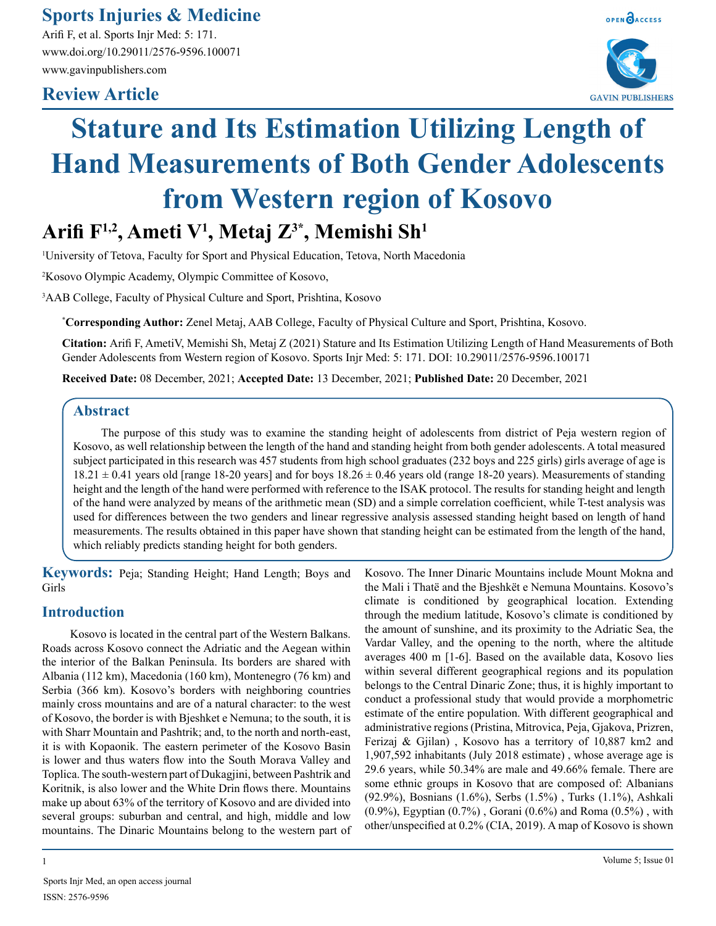**Sports Injuries & Medicine**

Arifi F, et al. Sports Injr Med: 5: 171. www.doi.org/10.29011/2576-9596.100071 www.gavinpublishers.com

# **Review Article**



# **Stature and Its Estimation Utilizing Length of Hand Measurements of Both Gender Adolescents from Western region of Kosovo**

# **Arifi F1,2, Ameti V1 , Metaj Z3\*, Memishi Sh1**

1 University of Tetova, Faculty for Sport and Physical Education, Tetova, North Macedonia

2 Kosovo Olympic Academy, Olympic Committee of Kosovo,

3 AAB College, Faculty of Physical Culture and Sport, Prishtina, Kosovo

**\* Corresponding Author:** Zenel Metaj, AAB College, Faculty of Physical Culture and Sport, Prishtina, Kosovo.

**Citation:** Arifi F, AmetiV, Memishi Sh, Metaj Z (2021) Stature and Its Estimation Utilizing Length of Hand Measurements of Both Gender Adolescents from Western region of Kosovo. Sports Injr Med: 5: 171. DOI: 10.29011/2576-9596.100171

**Received Date:** 08 December, 2021; **Accepted Date:** 13 December, 2021; **Published Date:** 20 December, 2021

## **Abstract**

The purpose of this study was to examine the standing height of adolescents from district of Peja western region of Kosovo, as well relationship between the length of the hand and standing height from both gender adolescents. A total measured subject participated in this research was 457 students from high school graduates (232 boys and 225 girls) girls average of age is  $18.21 \pm 0.41$  years old [range 18-20 years] and for boys  $18.26 \pm 0.46$  years old (range 18-20 years). Measurements of standing height and the length of the hand were performed with reference to the ISAK protocol. The results for standing height and length of the hand were analyzed by means of the arithmetic mean (SD) and a simple correlation coefficient, while T-test analysis was used for differences between the two genders and linear regressive analysis assessed standing height based on length of hand measurements. The results obtained in this paper have shown that standing height can be estimated from the length of the hand, which reliably predicts standing height for both genders.

**Keywords:** Peja; Standing Height; Hand Length; Boys and Girls

# **Introduction**

Kosovo is located in the central part of the Western Balkans. Roads across Kosovo connect the Adriatic and the Aegean within the interior of the Balkan Peninsula. Its borders are shared with Albania (112 km), Macedonia (160 km), Montenegro (76 km) and Serbia (366 km). Kosovo's borders with neighboring countries mainly cross mountains and are of a natural character: to the west of Kosovo, the border is with Bjeshket e Nemuna; to the south, it is with Sharr Mountain and Pashtrik; and, to the north and north-east, it is with Kopaonik. The eastern perimeter of the Kosovo Basin is lower and thus waters flow into the South Morava Valley and Toplica. The south-western part of Dukagjini, between Pashtrik and Koritnik, is also lower and the White Drin flows there. Mountains make up about 63% of the territory of Kosovo and are divided into several groups: suburban and central, and high, middle and low mountains. The Dinaric Mountains belong to the western part of

1 Volume 5; Issue 01

Kosovo. The Inner Dinaric Mountains include Mount Mokna and the Mali i Thatë and the Bjeshkët e Nemuna Mountains. Kosovo's climate is conditioned by geographical location. Extending through the medium latitude, Kosovo's climate is conditioned by the amount of sunshine, and its proximity to the Adriatic Sea, the Vardar Valley, and the opening to the north, where the altitude averages 400 m [1-6]. Based on the available data, Kosovo lies within several different geographical regions and its population belongs to the Central Dinaric Zone; thus, it is highly important to conduct a professional study that would provide a morphometric estimate of the entire population. With different geographical and administrative regions (Pristina, Mitrovica, Peja, Gjakova, Prizren, Ferizaj & Gjilan) , Kosovo has a territory of 10,887 km2 and 1,907,592 inhabitants (July 2018 estimate) , whose average age is 29.6 years, while 50.34% are male and 49.66% female. There are some ethnic groups in Kosovo that are composed of: Albanians (92.9%), Bosnians (1.6%), Serbs (1.5%) , Turks (1.1%), Ashkali  $(0.9\%)$ , Egyptian  $(0.7\%)$ , Gorani  $(0.6\%)$  and Roma  $(0.5\%)$ , with other/unspecified at 0.2% (CIA, 2019). A map of Kosovo is shown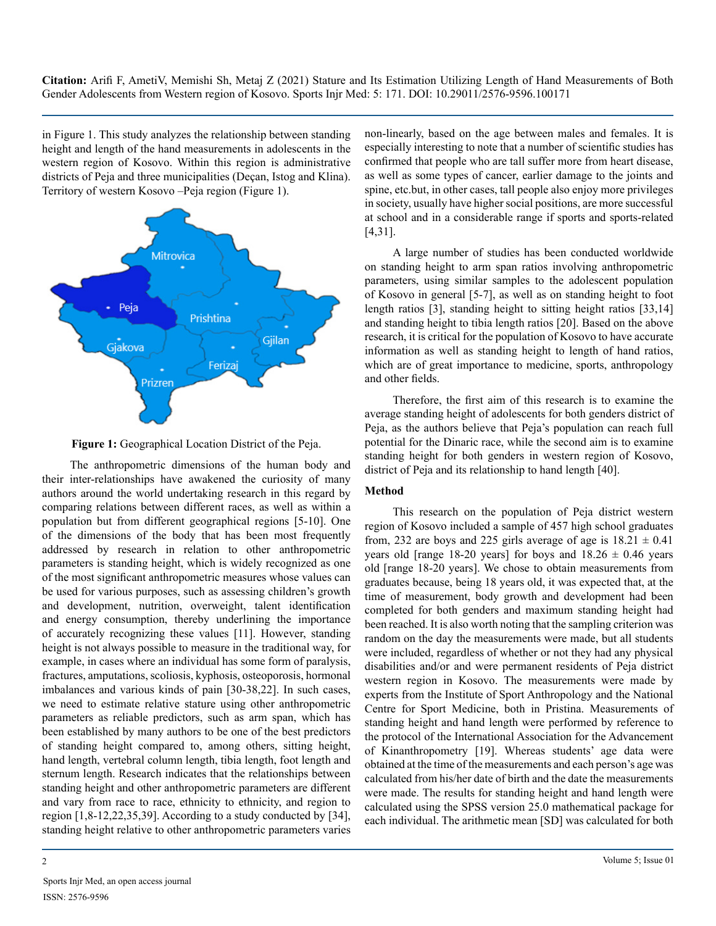in Figure 1. This study analyzes the relationship between standing height and length of the hand measurements in adolescents in the western region of Kosovo. Within this region is administrative districts of Peja and three municipalities (Deçan, Istog and Klina). Territory of western Kosovo –Peja region (Figure 1).





The anthropometric dimensions of the human body and their inter-relationships have awakened the curiosity of many authors around the world undertaking research in this regard by comparing relations between different races, as well as within a population but from different geographical regions [5-10]. One of the dimensions of the body that has been most frequently addressed by research in relation to other anthropometric parameters is standing height, which is widely recognized as one of the most significant anthropometric measures whose values can be used for various purposes, such as assessing children's growth and development, nutrition, overweight, talent identification and energy consumption, thereby underlining the importance of accurately recognizing these values [11]. However, standing height is not always possible to measure in the traditional way, for example, in cases where an individual has some form of paralysis, fractures, amputations, scoliosis, kyphosis, osteoporosis, hormonal imbalances and various kinds of pain [30-38,22]. In such cases, we need to estimate relative stature using other anthropometric parameters as reliable predictors, such as arm span, which has been established by many authors to be one of the best predictors of standing height compared to, among others, sitting height, hand length, vertebral column length, tibia length, foot length and sternum length. Research indicates that the relationships between standing height and other anthropometric parameters are different and vary from race to race, ethnicity to ethnicity, and region to region [1,8-12,22,35,39]. According to a study conducted by [34], standing height relative to other anthropometric parameters varies

Sports Injr Med, an open access journal ISSN: 2576-9596

non-linearly, based on the age between males and females. It is especially interesting to note that a number of scientific studies has confirmed that people who are tall suffer more from heart disease, as well as some types of cancer, earlier damage to the joints and spine, etc.but, in other cases, tall people also enjoy more privileges in society, usually have higher social positions, are more successful at school and in a considerable range if sports and sports-related [4,31].

A large number of studies has been conducted worldwide on standing height to arm span ratios involving anthropometric parameters, using similar samples to the adolescent population of Kosovo in general [5-7], as well as on standing height to foot length ratios [3], standing height to sitting height ratios [33,14] and standing height to tibia length ratios [20]. Based on the above research, it is critical for the population of Kosovo to have accurate information as well as standing height to length of hand ratios, which are of great importance to medicine, sports, anthropology and other fields.

Therefore, the first aim of this research is to examine the average standing height of adolescents for both genders district of Peja, as the authors believe that Peja's population can reach full potential for the Dinaric race, while the second aim is to examine standing height for both genders in western region of Kosovo, district of Peja and its relationship to hand length [40].

#### **Method**

This research on the population of Peja district western region of Kosovo included a sample of 457 high school graduates from, 232 are boys and 225 girls average of age is  $18.21 \pm 0.41$ years old [range 18-20 years] for boys and  $18.26 \pm 0.46$  years old [range 18-20 years]. We chose to obtain measurements from graduates because, being 18 years old, it was expected that, at the time of measurement, body growth and development had been completed for both genders and maximum standing height had been reached. It is also worth noting that the sampling criterion was random on the day the measurements were made, but all students were included, regardless of whether or not they had any physical disabilities and/or and were permanent residents of Peja district western region in Kosovo. The measurements were made by experts from the Institute of Sport Anthropology and the National Centre for Sport Medicine, both in Pristina. Measurements of standing height and hand length were performed by reference to the protocol of the International Association for the Advancement of Kinanthropometry [19]. Whereas students' age data were obtained at the time of the measurements and each person's age was calculated from his/her date of birth and the date the measurements were made. The results for standing height and hand length were calculated using the SPSS version 25.0 mathematical package for each individual. The arithmetic mean [SD] was calculated for both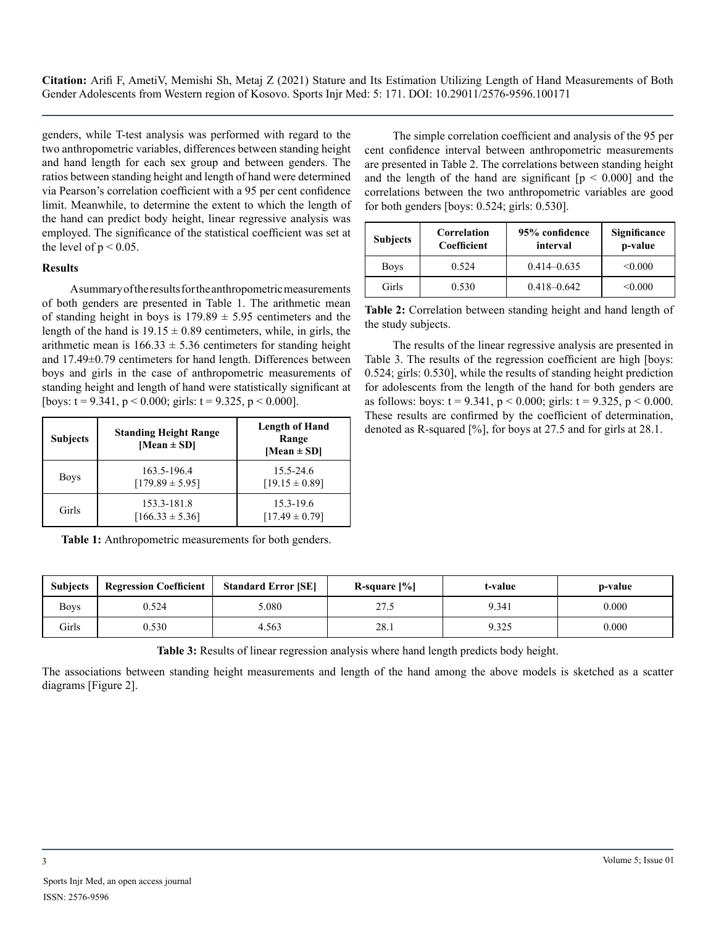genders, while T-test analysis was performed with regard to the two anthropometric variables, differences between standing height and hand length for each sex group and between genders. The ratios between standing height and length of hand were determined via Pearson's correlation coefficient with a 95 per cent confidence limit. Meanwhile, to determine the extent to which the length of the hand can predict body height, linear regressive analysis was employed. The significance of the statistical coefficient was set at the level of  $p < 0.05$ .

#### **Results**

A summary of the results for the anthropometric measurements of both genders are presented in Table 1. The arithmetic mean of standing height in boys is  $179.89 \pm 5.95$  centimeters and the length of the hand is  $19.15 \pm 0.89$  centimeters, while, in girls, the arithmetic mean is  $166.33 \pm 5.36$  centimeters for standing height and 17.49±0.79 centimeters for hand length. Differences between boys and girls in the case of anthropometric measurements of standing height and length of hand were statistically significant at [boys:  $t = 9.341$ ,  $p < 0.000$ ; girls:  $t = 9.325$ ,  $p < 0.000$ ].

| <b>Subjects</b> | <b>Standing Height Range</b><br>[Mean $\pm$ SD] | <b>Length of Hand</b><br>Range<br>[Mean $\pm$ SD] |  |
|-----------------|-------------------------------------------------|---------------------------------------------------|--|
| <b>Boys</b>     | 163.5-196.4<br>$[179.89 \pm 5.95]$              | $15.5 - 24.6$<br>$[19.15 \pm 0.89]$               |  |
| Girls           | 153.3-181.8<br>$[166.33 \pm 5.36]$              | $15.3 - 19.6$<br>$[17.49 \pm 0.79]$               |  |

**Table 1:** Anthropometric measurements for both genders.

The simple correlation coefficient and analysis of the 95 per cent confidence interval between anthropometric measurements are presented in Table 2. The correlations between standing height and the length of the hand are significant  $[p \le 0.000]$  and the correlations between the two anthropometric variables are good for both genders [boys: 0.524; girls: 0.530].

| <b>Subjects</b> | Correlation<br>Coefficient | 95% confidence<br>interval | Significance<br>p-value |
|-----------------|----------------------------|----------------------------|-------------------------|
| <b>Boys</b>     | 0.524                      | $0.414 - 0.635$            | < 0.000                 |
| Girls           | 0.530                      | $0.418 - 0.642$            | < 0.000                 |

**Table 2:** Correlation between standing height and hand length of the study subjects.

The results of the linear regressive analysis are presented in Table 3. The results of the regression coefficient are high [boys: 0.524; girls: 0.530], while the results of standing height prediction for adolescents from the length of the hand for both genders are as follows: boys:  $t = 9.341$ ,  $p < 0.000$ ; girls:  $t = 9.325$ ,  $p < 0.000$ . These results are confirmed by the coefficient of determination, denoted as R-squared [%], for boys at 27.5 and for girls at 28.1.

| <b>Subjects</b> | <b>Regression Coefficient</b> | <b>Standard Error [SE]</b> | R-square $[\%]$ | t-value | p-value |
|-----------------|-------------------------------|----------------------------|-----------------|---------|---------|
| <b>Boys</b>     | 0.524                         | 5.080                      | 27.5            | 9.341   | 0.000   |
| Girls           | 0.530                         | 4.563                      | 28.1            | 9.325   | 0.000   |

**Table 3:** Results of linear regression analysis where hand length predicts body height.

The associations between standing height measurements and length of the hand among the above models is sketched as a scatter diagrams [Figure 2].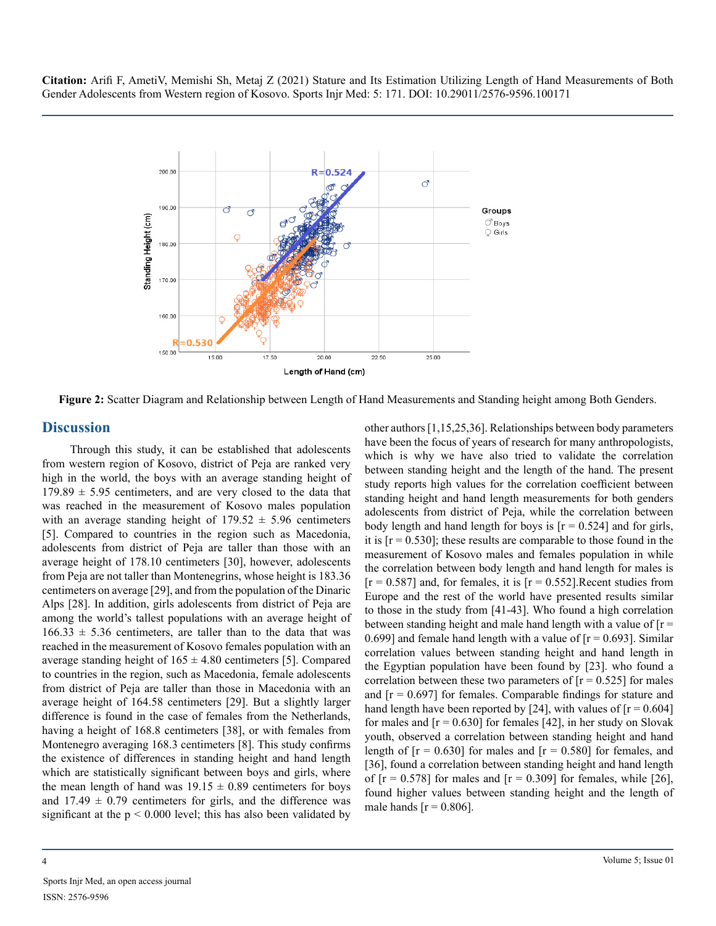

**Figure 2:** Scatter Diagram and Relationship between Length of Hand Measurements and Standing height among Both Genders.

## **Discussion**

Through this study, it can be established that adolescents from western region of Kosovo, district of Peja are ranked very high in the world, the boys with an average standing height of  $179.89 \pm 5.95$  centimeters, and are very closed to the data that was reached in the measurement of Kosovo males population with an average standing height of  $179.52 \pm 5.96$  centimeters [5]. Compared to countries in the region such as Macedonia, adolescents from district of Peja are taller than those with an average height of 178.10 centimeters [30], however, adolescents from Peja are not taller than Montenegrins, whose height is 183.36 centimeters on average [29], and from the population of the Dinaric Alps [28]. In addition, girls adolescents from district of Peja are among the world's tallest populations with an average height of  $166.33 \pm 5.36$  centimeters, are taller than to the data that was reached in the measurement of Kosovo females population with an average standing height of  $165 \pm 4.80$  centimeters [5]. Compared to countries in the region, such as Macedonia, female adolescents from district of Peja are taller than those in Macedonia with an average height of 164.58 centimeters [29]. But a slightly larger difference is found in the case of females from the Netherlands, having a height of 168.8 centimeters [38], or with females from Montenegro averaging 168.3 centimeters [8]. This study confirms the existence of differences in standing height and hand length which are statistically significant between boys and girls, where the mean length of hand was  $19.15 \pm 0.89$  centimeters for boys and  $17.49 \pm 0.79$  centimeters for girls, and the difference was significant at the  $p < 0.000$  level; this has also been validated by

other authors [1,15,25,36]. Relationships between body parameters have been the focus of years of research for many anthropologists, which is why we have also tried to validate the correlation between standing height and the length of the hand. The present study reports high values for the correlation coefficient between standing height and hand length measurements for both genders adolescents from district of Peja, while the correlation between body length and hand length for boys is  $[r = 0.524]$  and for girls, it is  $[r = 0.530]$ ; these results are comparable to those found in the measurement of Kosovo males and females population in while the correlation between body length and hand length for males is  $[r = 0.587]$  and, for females, it is  $[r = 0.552]$ . Recent studies from Europe and the rest of the world have presented results similar to those in the study from [41-43]. Who found a high correlation between standing height and male hand length with a value of  $[r =$ 0.699] and female hand length with a value of  $[r = 0.693]$ . Similar correlation values between standing height and hand length in the Egyptian population have been found by [23]. who found a correlation between these two parameters of  $[r = 0.525]$  for males and  $[r = 0.697]$  for females. Comparable findings for stature and hand length have been reported by [24], with values of  $[r = 0.604]$ for males and  $[r = 0.630]$  for females [42], in her study on Slovak youth, observed a correlation between standing height and hand length of  $[r = 0.630]$  for males and  $[r = 0.580]$  for females, and [36], found a correlation between standing height and hand length of  $[r = 0.578]$  for males and  $[r = 0.309]$  for females, while [26], found higher values between standing height and the length of male hands  $[r = 0.806]$ .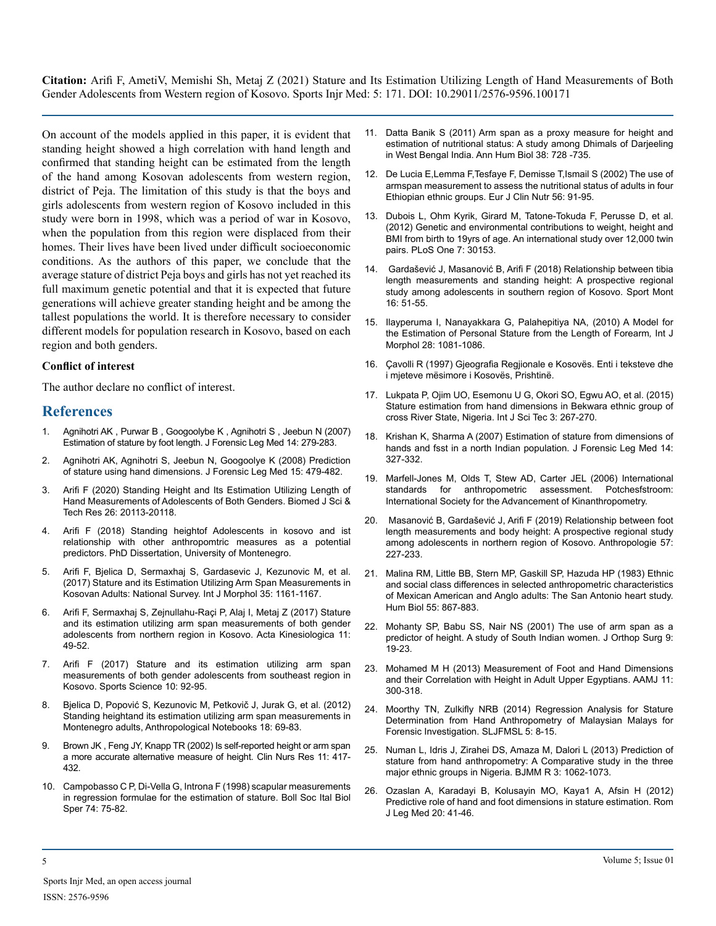On account of the models applied in this paper, it is evident that standing height showed a high correlation with hand length and confirmed that standing height can be estimated from the length of the hand among Kosovan adolescents from western region, district of Peja. The limitation of this study is that the boys and girls adolescents from western region of Kosovo included in this study were born in 1998, which was a period of war in Kosovo, when the population from this region were displaced from their homes. Their lives have been lived under difficult socioeconomic conditions. As the authors of this paper, we conclude that the average stature of district Peja boys and girls has not yet reached its full maximum genetic potential and that it is expected that future generations will achieve greater standing height and be among the tallest populations the world. It is therefore necessary to consider different models for population research in Kosovo, based on each region and both genders.

#### **Conflict of interest**

The author declare no conflict of interest.

#### **References**

- 1. [Agnihotri AK , Purwar B , Googoolybe K , Agnihotri S , Jeebun N \(2007\)](https://pubmed.ncbi.nlm.nih.gov/17239652/) [Estimation of stature by foot length. J Forensic Leg Med 14: 279-283.](https://pubmed.ncbi.nlm.nih.gov/17239652/)
- 2. [Agnihotri AK, Agnihotri S, Jeebun N, Googoolye K \(2008\) Prediction](https://pubmed.ncbi.nlm.nih.gov/18926497/)  [of stature using hand dimensions. J Forensic Leg Med 15: 479-482.](https://pubmed.ncbi.nlm.nih.gov/18926497/)
- 3. [Arifi F \(2020\) Standing Height and Its Estimation Utilizing Length of](https://biomedres.us/fulltexts/BJSTR.MS.ID.004376.php)  [Hand Measurements of Adolescents of Both Genders. Biomed J Sci &](https://biomedres.us/fulltexts/BJSTR.MS.ID.004376.php)  [Tech Res 26: 20113-20118.](https://biomedres.us/fulltexts/BJSTR.MS.ID.004376.php)
- 4. Arifi F (2018) Standing heightof Adolescents in kosovo and ist relationship with other anthropomtric measures as a potential predictors. PhD Dissertation, University of Montenegro.
- 5. [Arifi F, Bjelica D, Sermaxhaj S, Gardasevic J, Kezunovic M, et al.](https://www.researchgate.net/publication/320110392_Stature_and_its_Estimation_Utilizing_Arm_Span_Measurements_in_Kosovan_Adults_National_Survey)  [\(2017\) Stature and its Estimation Utilizing Arm Span Measurements in](https://www.researchgate.net/publication/320110392_Stature_and_its_Estimation_Utilizing_Arm_Span_Measurements_in_Kosovan_Adults_National_Survey)  [Kosovan Adults: National Survey. Int J Morphol 35: 1161-1167.](https://www.researchgate.net/publication/320110392_Stature_and_its_Estimation_Utilizing_Arm_Span_Measurements_in_Kosovan_Adults_National_Survey)
- 6. [Arifi F, Sermaxhaj S, Zejnullahu-Raçi P, Alaj I, Metaj Z \(2017\) Stature](http://actakinesiologica.com/stature-and-its-estimation-utilizing-arm-span-measurements-of-both-gender-adolescents-from-northern-region-in-kosovo/)  [and its estimation utilizing arm span measurements of both gender](http://actakinesiologica.com/stature-and-its-estimation-utilizing-arm-span-measurements-of-both-gender-adolescents-from-northern-region-in-kosovo/)  [adolescents from northern region in Kosovo. Acta Kinesiologica 11:](http://actakinesiologica.com/stature-and-its-estimation-utilizing-arm-span-measurements-of-both-gender-adolescents-from-northern-region-in-kosovo/)  [49-52.](http://actakinesiologica.com/stature-and-its-estimation-utilizing-arm-span-measurements-of-both-gender-adolescents-from-northern-region-in-kosovo/)
- 7. [Arifi F \(2017\) Stature and its estimation utilizing arm span](https://www.sposci.com/PDFS/BR1001/SVEE/04 CL 16 FA.pdf)  [measurements of both gender adolescents from southeast region in](https://www.sposci.com/PDFS/BR1001/SVEE/04 CL 16 FA.pdf)  [Kosovo. Sports Science 10: 92-95.](https://www.sposci.com/PDFS/BR1001/SVEE/04 CL 16 FA.pdf)
- 8. Bjelica D, Popović S, Kezunovic M, Petkovič J, Jurak G, et al. (2012) Standing heightand its estimation utilizing arm span measurements in Montenegro adults, Anthropological Notebooks 18: 69-83.
- 9. [Brown JK , Feng JY, Knapp TR \(2002\) Is self-reported height or arm span](https://pubmed.ncbi.nlm.nih.gov/12413114/)  [a more accurate alternative measure of height.](https://pubmed.ncbi.nlm.nih.gov/12413114/) Clin Nurs Res 11: 417- [432.](https://pubmed.ncbi.nlm.nih.gov/12413114/)
- 10. [Campobasso C P, Di-Vella G, Introna F \(1998\) scapular measurements](https://pubmed.ncbi.nlm.nih.gov/10874984/)  [in regression formulae for the estimation of stature. Boll Soc Ital Biol](https://pubmed.ncbi.nlm.nih.gov/10874984/)  Sper [74: 75-82.](https://pubmed.ncbi.nlm.nih.gov/10874984/)
- 11. [Datta Banik S \(2011\) Arm span as a proxy measure for height and](https://pubmed.ncbi.nlm.nih.gov/21958430/)  [estimation of nutritional status: A study among Dhimals of Darjeeling](https://pubmed.ncbi.nlm.nih.gov/21958430/)  [in West Bengal India. Ann Hum Biol 38: 728 -735.](https://pubmed.ncbi.nlm.nih.gov/21958430/)
- 12. [De Lucia E,Lemma F,Tesfaye F, Demisse T,Ismail S \(2002\) The use of](https://pubmed.ncbi.nlm.nih.gov/11857041/)  [armspan measurement to assess the nutritional status of adults in four](https://pubmed.ncbi.nlm.nih.gov/11857041/)  [Ethiopian ethnic groups. Eur J Clin Nutr 56: 91-95.](https://pubmed.ncbi.nlm.nih.gov/11857041/)
- 13. [Dubois L, Ohm Kyrik, Girard M, Tatone-Tokuda F, Perusse D, et al.](https://pubmed.ncbi.nlm.nih.gov/22347368/)  [\(2012\) Genetic and environmental contributions to weight, height and](https://pubmed.ncbi.nlm.nih.gov/22347368/)  [BMI from birth to 19yrs of age. An international study over 12,000 twin](https://pubmed.ncbi.nlm.nih.gov/22347368/)  [pairs. PLoS One 7: 30153.](https://pubmed.ncbi.nlm.nih.gov/22347368/)
- 14. [Gardašević J, Masanović B, Arifi F \(2018\) Relationship between tibia](http://www.sportmont.ucg.ac.me/?sekcija=article&artid=1425)  [length measurements and standing height: A prospective regional](http://www.sportmont.ucg.ac.me/?sekcija=article&artid=1425)  [study among adolescents in southern region of Kosovo.](http://www.sportmont.ucg.ac.me/?sekcija=article&artid=1425) Sport Mont [16: 51-55.](http://www.sportmont.ucg.ac.me/?sekcija=article&artid=1425)
- 15. [Ilayperuma I, Nanayakkara G, Palahepitiya NA, \(2010\) A Model for](https://pdfs.semanticscholar.org/852d/63608560f1f209453faaf7ae6e8623fd4052.pdf)  [the Estimation of Personal Stature from the Length of Forearm](https://pdfs.semanticscholar.org/852d/63608560f1f209453faaf7ae6e8623fd4052.pdf)*,* Int J [Morphol 28: 1081-1086.](https://pdfs.semanticscholar.org/852d/63608560f1f209453faaf7ae6e8623fd4052.pdf)
- 16. Çavolli R (1997) Gjeografia Regjionale e Kosovës. Enti i teksteve dhe i mjeteve mësimore i Kosovës, Prishtinë.
- 17. Lukpata P, Ojim UO, Esemonu U G, Okori SO, Egwu AO, et al. (2015) Stature estimation from hand dimensions in Bekwara ethnic group of cross River State, Nigeria. Int J Sci Tec 3: 267-270.
- 18. [Krishan K, Sharma A \(2007\) Estimation of stature from dimensions of](https://pubmed.ncbi.nlm.nih.gov/17239650/) [hands and fsst in a north Indian population. J Forensic Leg Med 14:](https://pubmed.ncbi.nlm.nih.gov/17239650/)  [327-332.](https://pubmed.ncbi.nlm.nih.gov/17239650/)
- 19. [Marfell-Jones M, Olds T, Stew AD, Carter JEL \(2006\) International](https://www.worldcat.org/title/international-standards-for-anthropometric-assessment/oclc/1200080397?referer=br&ht=edition)  [standards for anthropometric assessment. Potchesfstroom:](https://www.worldcat.org/title/international-standards-for-anthropometric-assessment/oclc/1200080397?referer=br&ht=edition)  [International Society for the Advancement of Kinanthropometry.](https://www.worldcat.org/title/international-standards-for-anthropometric-assessment/oclc/1200080397?referer=br&ht=edition)
- 20. [Masanović B, Gardašević J, Arifi F \(2019\) Relationship between foot](https://www.researchgate.net/publication/335677386_Relationship_between_foot_length_measurements_and_body_height_a_prospective_regional_study_among_adolescents_in_northern_region_of_Kosovo)  [length measurements and body height: A prospective regional study](https://www.researchgate.net/publication/335677386_Relationship_between_foot_length_measurements_and_body_height_a_prospective_regional_study_among_adolescents_in_northern_region_of_Kosovo)  [among adolescents in northern region of Kosovo. Anthropologie 57:](https://www.researchgate.net/publication/335677386_Relationship_between_foot_length_measurements_and_body_height_a_prospective_regional_study_among_adolescents_in_northern_region_of_Kosovo)  [227-233.](https://www.researchgate.net/publication/335677386_Relationship_between_foot_length_measurements_and_body_height_a_prospective_regional_study_among_adolescents_in_northern_region_of_Kosovo)
- 21. [Malina RM, Little BB, Stern MP, Gaskill SP, Hazuda HP \(1983\) Ethnic](https://pubmed.ncbi.nlm.nih.gov/6674108/)  [and social class differences in selected anthropometric characteristics](https://pubmed.ncbi.nlm.nih.gov/6674108/)  [of Mexican American and Anglo adults: The San Antonio heart study.](https://pubmed.ncbi.nlm.nih.gov/6674108/) [Hum Biol 55: 867-883.](https://pubmed.ncbi.nlm.nih.gov/6674108/)
- 22. [Mohanty SP, Babu SS, Nair NS \(2001\) The use of arm span as a](https://pubmed.ncbi.nlm.nih.gov/12468839/)  [predictor of height. A study of South Indian women. J Orthop Surg 9:](https://pubmed.ncbi.nlm.nih.gov/12468839/)  [19-23.](https://pubmed.ncbi.nlm.nih.gov/12468839/)
- 23. [Mohamed M H \(2013\) Measurement of Foot and Hand Dimensions](http://www.aamj.eg.net/journals/pdf/1946.pdf)  [and their Correlation with Height in Adult Upper Egyptians. AAMJ 11:](http://www.aamj.eg.net/journals/pdf/1946.pdf) [300-318.](http://www.aamj.eg.net/journals/pdf/1946.pdf)
- 24. [Moorthy TN, Zulkifly NRB \(2014\) Regression Analysis for Stature](https://sljfmsl.sljol.info/articles/abstract/10.4038/sljfmsl.v5i2.7753/)  [Determination from Hand Anthropometry of Malaysian Malays for](https://sljfmsl.sljol.info/articles/abstract/10.4038/sljfmsl.v5i2.7753/) [Forensic Investigation. SLJFMSL 5: 8-15.](https://sljfmsl.sljol.info/articles/abstract/10.4038/sljfmsl.v5i2.7753/)
- 25. [Numan L, Idris J, Zirahei DS, Amaza M, Dalori L \(2013\) Prediction of](http://www.sciencedomain.org/abstract/1137)  [stature from hand anthropometry: A Comparative study in the three](http://www.sciencedomain.org/abstract/1137)  [major ethnic groups in Nigeria. BJMM R 3: 1062-1073.](http://www.sciencedomain.org/abstract/1137)
- 26. [Ozaslan A, Karadayi B, Kolusayin MO, Kaya1 A, Afsin H \(2012\)](https://www.researchgate.net/publication/258791880_Predictive_role_of_hand_and_foot_dimensions_in_stature_estimation)  [Predictive role of hand and foot dimensions in stature estimation. Rom](https://www.researchgate.net/publication/258791880_Predictive_role_of_hand_and_foot_dimensions_in_stature_estimation)  [J Leg Med 20: 41-46.](https://www.researchgate.net/publication/258791880_Predictive_role_of_hand_and_foot_dimensions_in_stature_estimation)